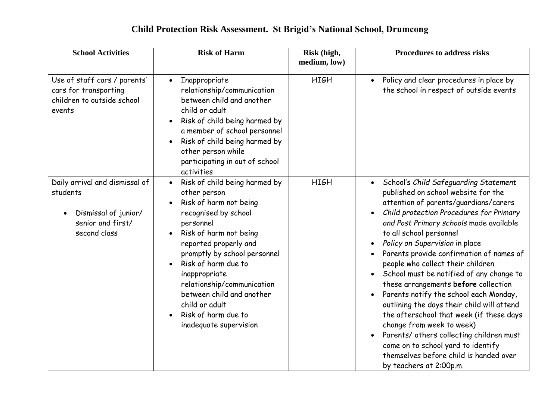| <b>School Activities</b>                                                                                | <b>Risk of Harm</b>                                                                                                                                                                                                                                                                                                                                                                | Risk (high,<br>medium, low) | <b>Procedures to address risks</b>                                                                                                                                                                                                                                                                                                                                                                                                                                                                                                                                                                                                                                                                                                                                                                                                     |
|---------------------------------------------------------------------------------------------------------|------------------------------------------------------------------------------------------------------------------------------------------------------------------------------------------------------------------------------------------------------------------------------------------------------------------------------------------------------------------------------------|-----------------------------|----------------------------------------------------------------------------------------------------------------------------------------------------------------------------------------------------------------------------------------------------------------------------------------------------------------------------------------------------------------------------------------------------------------------------------------------------------------------------------------------------------------------------------------------------------------------------------------------------------------------------------------------------------------------------------------------------------------------------------------------------------------------------------------------------------------------------------------|
| Use of staff cars / parents'<br>cars for transporting<br>children to outside school<br>events           | Inappropriate<br>$\bullet$<br>relationship/communication<br>between child and another<br>child or adult<br>Risk of child being harmed by<br>a member of school personnel<br>Risk of child being harmed by<br>other person while<br>participating in out of school<br>activities                                                                                                    | <b>HIGH</b>                 | Policy and clear procedures in place by<br>$\bullet$<br>the school in respect of outside events                                                                                                                                                                                                                                                                                                                                                                                                                                                                                                                                                                                                                                                                                                                                        |
| Daily arrival and dismissal of<br>students<br>Dismissal of junior/<br>senior and first/<br>second class | Risk of child being harmed by<br>$\bullet$<br>other person<br>Risk of harm not being<br>recognised by school<br>personnel<br>Risk of harm not being<br>reported properly and<br>promptly by school personnel<br>Risk of harm due to<br>inappropriate<br>relationship/communication<br>between child and another<br>child or adult<br>Risk of harm due to<br>inadequate supervision | <b>HIGH</b>                 | School's Child Safeguarding Statement<br>$\bullet$<br>published on school website for the<br>attention of parents/guardians/carers<br>Child protection Procedures for Primary<br>$\bullet$<br>and Post Primary schools made available<br>to all school personnel<br>Policy on Supervision in place<br>$\bullet$<br>Parents provide confirmation of names of<br>people who collect their children<br>School must be notified of any change to<br>these arrangements before collection<br>Parents notify the school each Monday,<br>$\bullet$<br>outlining the days their child will attend<br>the afterschool that week (if these days<br>change from week to week)<br>Parents/ others collecting children must<br>$\bullet$<br>come on to school yard to identify<br>themselves before child is handed over<br>by teachers at 2:00p.m. |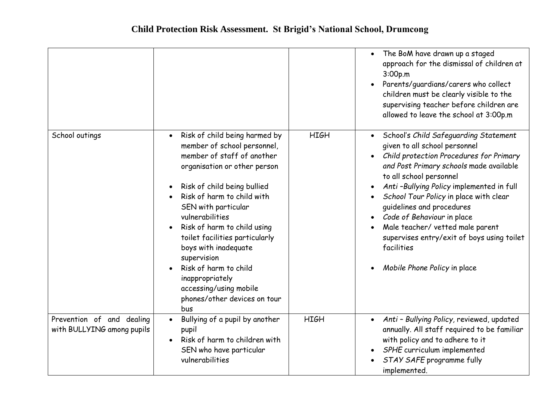|                                                         |                                                                                                                                                                                                                                                                                                                                                                                                                                                                     |             | The BoM have drawn up a staged<br>$\bullet$<br>approach for the dismissal of children at<br>3:00p.m<br>Parents/guardians/carers who collect<br>children must be clearly visible to the<br>supervising teacher before children are<br>allowed to leave the school at 3:00p.m                                                                                                                                                                                                           |
|---------------------------------------------------------|---------------------------------------------------------------------------------------------------------------------------------------------------------------------------------------------------------------------------------------------------------------------------------------------------------------------------------------------------------------------------------------------------------------------------------------------------------------------|-------------|---------------------------------------------------------------------------------------------------------------------------------------------------------------------------------------------------------------------------------------------------------------------------------------------------------------------------------------------------------------------------------------------------------------------------------------------------------------------------------------|
| School outings                                          | Risk of child being harmed by<br>$\bullet$<br>member of school personnel,<br>member of staff of another<br>organisation or other person<br>Risk of child being bullied<br>Risk of harm to child with<br>SEN with particular<br>vulnerabilities<br>Risk of harm to child using<br>toilet facilities particularly<br>boys with inadequate<br>supervision<br>Risk of harm to child<br>inappropriately<br>accessing/using mobile<br>phones/other devices on tour<br>bus | <b>HIGH</b> | School's Child Safeguarding Statement<br>$\bullet$<br>given to all school personnel<br>Child protection Procedures for Primary<br>and Post Primary schools made available<br>to all school personnel<br>Anti-Bullying Policy implemented in full<br>School Tour Policy in place with clear<br>guidelines and procedures<br>Code of Behaviour in place<br>Male teacher/ vetted male parent<br>supervises entry/exit of boys using toilet<br>facilities<br>Mobile Phone Policy in place |
| Prevention of and dealing<br>with BULLYING among pupils | Bullying of a pupil by another<br>pupil<br>Risk of harm to children with<br>SEN who have particular<br>vulnerabilities                                                                                                                                                                                                                                                                                                                                              | <b>HIGH</b> | Anti - Bullying Policy, reviewed, updated<br>$\bullet$<br>annually. All staff required to be familiar<br>with policy and to adhere to it<br>SPHE curriculum implemented<br>STAY SAFE programme fully<br>implemented.                                                                                                                                                                                                                                                                  |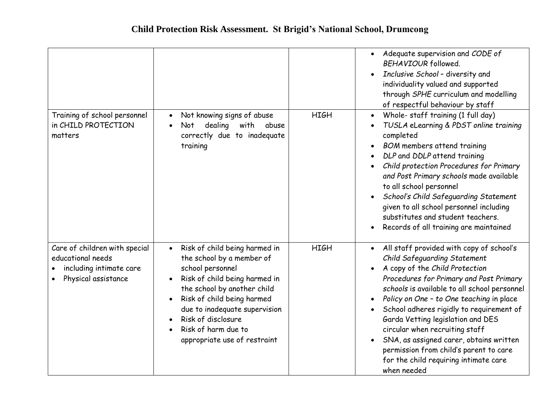|                                                                                                      |                                                                                                                                                                                                                                                                                                         |             | Adequate supervision and CODE of<br>$\bullet$<br>BEHAVIOUR followed.<br>Inclusive School - diversity and<br>$\bullet$<br>individuality valued and supported<br>through SPHE curriculum and modelling<br>of respectful behaviour by staff                                                                                                                                                                                                                                                                                                    |
|------------------------------------------------------------------------------------------------------|---------------------------------------------------------------------------------------------------------------------------------------------------------------------------------------------------------------------------------------------------------------------------------------------------------|-------------|---------------------------------------------------------------------------------------------------------------------------------------------------------------------------------------------------------------------------------------------------------------------------------------------------------------------------------------------------------------------------------------------------------------------------------------------------------------------------------------------------------------------------------------------|
| Training of school personnel<br>in CHILD PROTECTION<br>matters                                       | Not knowing signs of abuse<br>$\bullet$<br>dealing<br>with<br>Not<br>abuse<br>correctly due to inadequate<br>training                                                                                                                                                                                   | <b>HIGH</b> | Whole- staff training (1 full day)<br>$\bullet$<br>TUSLA eLearning & PDST online training<br>completed<br><b>BOM</b> members attend training<br>DLP and DDLP attend training<br>Child protection Procedures for Primary<br>and Post Primary schools made available<br>to all school personnel<br>School's Child Safeguarding Statement<br>given to all school personnel including<br>substitutes and student teachers.<br>Records of all training are maintained                                                                            |
| Care of children with special<br>educational needs<br>including intimate care<br>Physical assistance | Risk of child being harmed in<br>$\bullet$<br>the school by a member of<br>school personnel<br>Risk of child being harmed in<br>the school by another child<br>Risk of child being harmed<br>due to inadequate supervision<br>Risk of disclosure<br>Risk of harm due to<br>appropriate use of restraint | <b>HIGH</b> | All staff provided with copy of school's<br>Child Safeguarding Statement<br>A copy of the Child Protection<br>Procedures for Primary and Post Primary<br>schools is available to all school personnel<br>Policy on One - to One teaching in place<br>$\bullet$<br>School adheres rigidly to requirement of<br>$\bullet$<br>Garda Vetting legislation and DES<br>circular when recruiting staff<br>SNA, as assigned carer, obtains written<br>permission from child's parent to care<br>for the child requiring intimate care<br>when needed |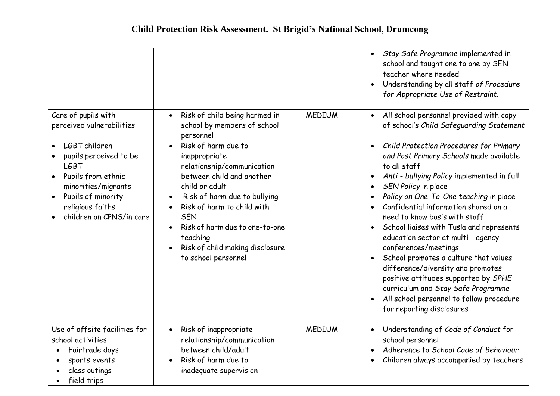|                                                                                                                                                                                        |                                                                                                                                                                                                                                                                                                       |               | Stay Safe Programme implemented in<br>$\bullet$<br>school and taught one to one by SEN<br>teacher where needed<br>Understanding by all staff of Procedure<br>$\bullet$<br>for Appropriate Use of Restraint.                                                                                                                                                                                                                                                                                                                                                                                                                                            |
|----------------------------------------------------------------------------------------------------------------------------------------------------------------------------------------|-------------------------------------------------------------------------------------------------------------------------------------------------------------------------------------------------------------------------------------------------------------------------------------------------------|---------------|--------------------------------------------------------------------------------------------------------------------------------------------------------------------------------------------------------------------------------------------------------------------------------------------------------------------------------------------------------------------------------------------------------------------------------------------------------------------------------------------------------------------------------------------------------------------------------------------------------------------------------------------------------|
| Care of pupils with<br>perceived vulnerabilities                                                                                                                                       | Risk of child being harmed in<br>$\bullet$<br>school by members of school<br>personnel                                                                                                                                                                                                                | <b>MEDIUM</b> | All school personnel provided with copy<br>$\bullet$<br>of school's Child Safeguarding Statement                                                                                                                                                                                                                                                                                                                                                                                                                                                                                                                                                       |
| LGBT children<br>pupils perceived to be<br><b>LGBT</b><br>Pupils from ethnic<br>minorities/migrants<br>Pupils of minority<br>$\bullet$<br>religious faiths<br>children on CPNS/in care | Risk of harm due to<br>inappropriate<br>relationship/communication<br>between child and another<br>child or adult<br>Risk of harm due to bullying<br>Risk of harm to child with<br><b>SEN</b><br>Risk of harm due to one-to-one<br>teaching<br>Risk of child making disclosure<br>to school personnel |               | Child Protection Procedures for Primary<br>and Post Primary Schools made available<br>to all staff<br>Anti - bullying Policy implemented in full<br>SEN Policy in place<br>Policy on One-To-One teaching in place<br>Confidential information shared on a<br>need to know basis with staff<br>School liaises with Tusla and represents<br>education sector at multi - agency<br>conferences/meetings<br>School promotes a culture that values<br>difference/diversity and promotes<br>positive attitudes supported by SPHE<br>curriculum and Stay Safe Programme<br>All school personnel to follow procedure<br>$\bullet$<br>for reporting disclosures |
| Use of offsite facilities for<br>school activities<br>Fairtrade days<br>sports events<br>class outings<br>field trips                                                                  | Risk of inappropriate<br>$\bullet$<br>relationship/communication<br>between child/adult<br>Risk of harm due to<br>inadequate supervision                                                                                                                                                              | <b>MEDIUM</b> | Understanding of Code of Conduct for<br>$\bullet$<br>school personnel<br>Adherence to School Code of Behaviour<br>Children always accompanied by teachers                                                                                                                                                                                                                                                                                                                                                                                                                                                                                              |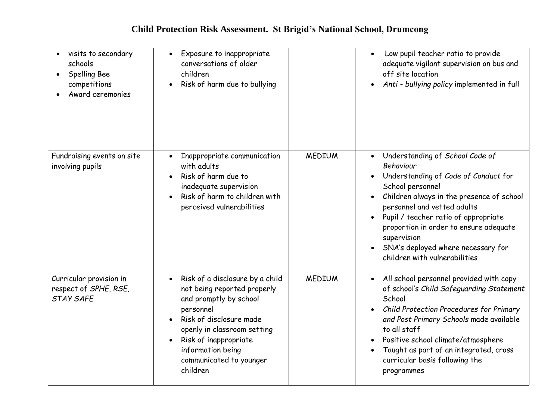| visits to secondary<br>schools<br>Spelling Bee<br>competitions<br>Award ceremonies | Exposure to inappropriate<br>$\bullet$<br>conversations of older<br>children<br>Risk of harm due to bullying                                                                                                                                                      |               | Low pupil teacher ratio to provide<br>$\bullet$<br>adequate vigilant supervision on bus and<br>off site location<br>Anti - bullying policy implemented in full<br>$\bullet$                                                                                                                                                                                                                                      |
|------------------------------------------------------------------------------------|-------------------------------------------------------------------------------------------------------------------------------------------------------------------------------------------------------------------------------------------------------------------|---------------|------------------------------------------------------------------------------------------------------------------------------------------------------------------------------------------------------------------------------------------------------------------------------------------------------------------------------------------------------------------------------------------------------------------|
| Fundraising events on site<br>involving pupils                                     | Inappropriate communication<br>with adults<br>Risk of harm due to<br>inadequate supervision<br>Risk of harm to children with<br>perceived vulnerabilities                                                                                                         | <b>MEDIUM</b> | Understanding of School Code of<br>$\bullet$<br>Behaviour<br>Understanding of Code of Conduct for<br>$\bullet$<br>School personnel<br>Children always in the presence of school<br>$\bullet$<br>personnel and vetted adults<br>Pupil / teacher ratio of appropriate<br>$\bullet$<br>proportion in order to ensure adequate<br>supervision<br>SNA's deployed where necessary for<br>children with vulnerabilities |
| Curricular provision in<br>respect of SPHE, RSE,<br><b>STAY SAFE</b>               | Risk of a disclosure by a child<br>$\bullet$<br>not being reported properly<br>and promptly by school<br>personnel<br>Risk of disclosure made<br>openly in classroom setting<br>Risk of inappropriate<br>information being<br>communicated to younger<br>children | <b>MEDIUM</b> | All school personnel provided with copy<br>$\bullet$<br>of school's Child Safeguarding Statement<br>School<br>Child Protection Procedures for Primary<br>and Post Primary Schools made available<br>to all staff<br>Positive school climate/atmosphere<br>Taught as part of an integrated, cross<br>curricular basis following the<br>programmes                                                                 |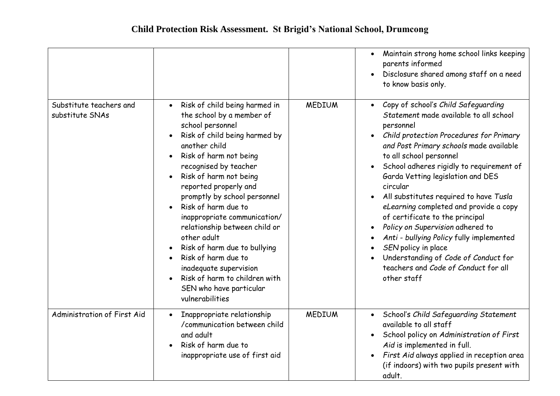|                                            |                                                                                                                                                                                                                                                                                                                                                                                                                                                                                                                                                                                      |               | Maintain strong home school links keeping<br>$\bullet$<br>parents informed<br>Disclosure shared among staff on a need<br>$\bullet$<br>to know basis only.                                                                                                                                                                                                                                                                                                                                                                                                                                                                                                                    |
|--------------------------------------------|--------------------------------------------------------------------------------------------------------------------------------------------------------------------------------------------------------------------------------------------------------------------------------------------------------------------------------------------------------------------------------------------------------------------------------------------------------------------------------------------------------------------------------------------------------------------------------------|---------------|------------------------------------------------------------------------------------------------------------------------------------------------------------------------------------------------------------------------------------------------------------------------------------------------------------------------------------------------------------------------------------------------------------------------------------------------------------------------------------------------------------------------------------------------------------------------------------------------------------------------------------------------------------------------------|
| Substitute teachers and<br>substitute SNAs | Risk of child being harmed in<br>$\bullet$<br>the school by a member of<br>school personnel<br>Risk of child being harmed by<br>another child<br>Risk of harm not being<br>$\bullet$<br>recognised by teacher<br>Risk of harm not being<br>reported properly and<br>promptly by school personnel<br>Risk of harm due to<br>inappropriate communication/<br>relationship between child or<br>other adult<br>Risk of harm due to bullying<br>Risk of harm due to<br>$\bullet$<br>inadequate supervision<br>Risk of harm to children with<br>SEN who have particular<br>vulnerabilities | <b>MEDIUM</b> | Copy of school's Child Safeguarding<br>$\bullet$<br>Statement made available to all school<br>personnel<br>Child protection Procedures for Primary<br>$\bullet$<br>and Post Primary schools made available<br>to all school personnel<br>School adheres rigidly to requirement of<br>Garda Vetting legislation and DES<br>circular<br>All substitutes required to have Tusla<br>eLearning completed and provide a copy<br>of certificate to the principal<br>Policy on Supervision adhered to<br>$\bullet$<br>Anti - bullying Policy fully implemented<br>SEN policy in place<br>Understanding of Code of Conduct for<br>teachers and Code of Conduct for all<br>other staff |
| Administration of First Aid                | Inappropriate relationship<br>$\bullet$<br>/communication between child<br>and adult<br>Risk of harm due to<br>inappropriate use of first aid                                                                                                                                                                                                                                                                                                                                                                                                                                        | <b>MEDIUM</b> | • School's Child Safeguarding Statement<br>available to all staff<br>School policy on Administration of First<br>Aid is implemented in full.<br>First Aid always applied in reception area<br>$\bullet$<br>(if indoors) with two pupils present with<br>adult.                                                                                                                                                                                                                                                                                                                                                                                                               |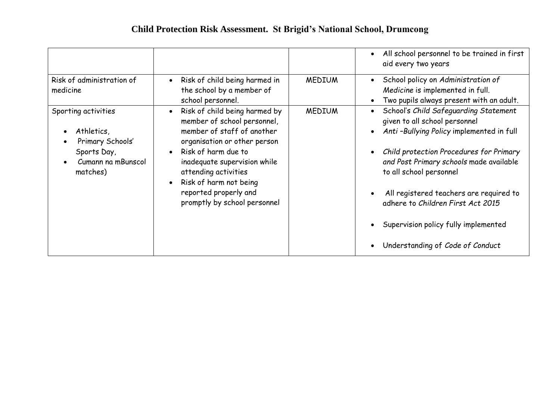|                                                                                                        |                                                                                                                                                                                                                                                                                              |               | All school personnel to be trained in first<br>aid every two years                                                                                                                                                                                                                                                                                                                              |
|--------------------------------------------------------------------------------------------------------|----------------------------------------------------------------------------------------------------------------------------------------------------------------------------------------------------------------------------------------------------------------------------------------------|---------------|-------------------------------------------------------------------------------------------------------------------------------------------------------------------------------------------------------------------------------------------------------------------------------------------------------------------------------------------------------------------------------------------------|
| Risk of administration of<br>medicine                                                                  | Risk of child being harmed in<br>the school by a member of<br>school personnel.                                                                                                                                                                                                              | <b>MEDIUM</b> | School policy on Administration of<br>Medicine is implemented in full.<br>Two pupils always present with an adult.                                                                                                                                                                                                                                                                              |
| Sporting activities<br>Athletics,<br>Primary Schools'<br>Sports Day,<br>Cumann na mBunscol<br>matches) | Risk of child being harmed by<br>member of school personnel,<br>member of staff of another<br>organisation or other person<br>Risk of harm due to<br>inadequate supervision while<br>attending activities<br>Risk of harm not being<br>reported properly and<br>promptly by school personnel | <b>MEDIUM</b> | School's Child Safeguarding Statement<br>given to all school personnel<br>Anti-Bullying Policy implemented in full<br>Child protection Procedures for Primary<br>and Post Primary schools made available<br>to all school personnel<br>All registered teachers are required to<br>adhere to Children First Act 2015<br>Supervision policy fully implemented<br>Understanding of Code of Conduct |
|                                                                                                        |                                                                                                                                                                                                                                                                                              |               |                                                                                                                                                                                                                                                                                                                                                                                                 |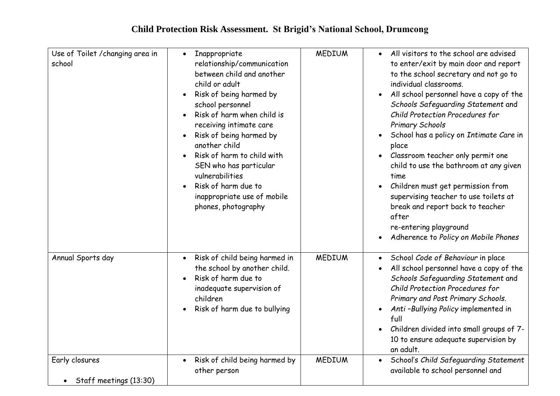| Use of Toilet / changing area in<br>school            | Inappropriate<br>$\bullet$<br>relationship/communication<br>between child and another<br>child or adult<br>Risk of being harmed by<br>school personnel<br>Risk of harm when child is<br>receiving intimate care<br>Risk of being harmed by<br>another child<br>Risk of harm to child with<br>SEN who has particular<br>vulnerabilities<br>Risk of harm due to<br>inappropriate use of mobile<br>phones, photography | <b>MEDIUM</b> | All visitors to the school are advised<br>to enter/exit by main door and report<br>to the school secretary and not go to<br>individual classrooms.<br>All school personnel have a copy of the<br>Schools Safeguarding Statement and<br>Child Protection Procedures for<br><b>Primary Schools</b><br>School has a policy on Intimate Care in<br>place<br>Classroom teacher only permit one<br>child to use the bathroom at any given<br>time<br>Children must get permission from<br>supervising teacher to use toilets at<br>break and report back to teacher<br>after<br>re-entering playground<br>Adherence to Policy on Mobile Phones |
|-------------------------------------------------------|---------------------------------------------------------------------------------------------------------------------------------------------------------------------------------------------------------------------------------------------------------------------------------------------------------------------------------------------------------------------------------------------------------------------|---------------|------------------------------------------------------------------------------------------------------------------------------------------------------------------------------------------------------------------------------------------------------------------------------------------------------------------------------------------------------------------------------------------------------------------------------------------------------------------------------------------------------------------------------------------------------------------------------------------------------------------------------------------|
| Annual Sports day                                     | Risk of child being harmed in<br>$\bullet$<br>the school by another child.<br>Risk of harm due to<br>inadequate supervision of<br>children<br>Risk of harm due to bullying                                                                                                                                                                                                                                          | <b>MEDIUM</b> | School Code of Behaviour in place<br>$\bullet$<br>All school personnel have a copy of the<br>Schools Safeguarding Statement and<br>Child Protection Procedures for<br>Primary and Post Primary Schools.<br>Anti-Bullying Policy implemented in<br>full<br>Children divided into small groups of 7-<br>10 to ensure adequate supervision by<br>an adult.                                                                                                                                                                                                                                                                                  |
| Early closures<br>Staff meetings (13:30)<br>$\bullet$ | Risk of child being harmed by<br>$\bullet$<br>other person                                                                                                                                                                                                                                                                                                                                                          | <b>MEDIUM</b> | School's Child Safeguarding Statement<br>$\bullet$<br>available to school personnel and                                                                                                                                                                                                                                                                                                                                                                                                                                                                                                                                                  |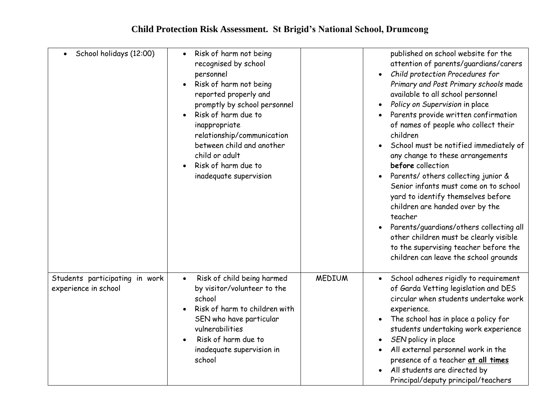| School holidays (12:00)                                | Risk of harm not being<br>$\bullet$<br>recognised by school<br>personnel<br>Risk of harm not being<br>reported properly and<br>promptly by school personnel<br>Risk of harm due to<br>inappropriate<br>relationship/communication<br>between child and another<br>child or adult<br>Risk of harm due to<br>inadequate supervision |               | published on school website for the<br>attention of parents/guardians/carers<br>Child protection Procedures for<br>Primary and Post Primary schools made<br>available to all school personnel<br>Policy on Supervision in place<br>Parents provide written confirmation<br>of names of people who collect their<br>children<br>School must be notified immediately of<br>any change to these arrangements<br>before collection<br>Parents/ others collecting junior &<br>Senior infants must come on to school<br>yard to identify themselves before<br>children are handed over by the<br>teacher<br>Parents/guardians/others collecting all<br>other children must be clearly visible<br>to the supervising teacher before the<br>children can leave the school grounds |
|--------------------------------------------------------|-----------------------------------------------------------------------------------------------------------------------------------------------------------------------------------------------------------------------------------------------------------------------------------------------------------------------------------|---------------|---------------------------------------------------------------------------------------------------------------------------------------------------------------------------------------------------------------------------------------------------------------------------------------------------------------------------------------------------------------------------------------------------------------------------------------------------------------------------------------------------------------------------------------------------------------------------------------------------------------------------------------------------------------------------------------------------------------------------------------------------------------------------|
| Students participating in work<br>experience in school | Risk of child being harmed<br>$\bullet$<br>by visitor/volunteer to the<br>school<br>Risk of harm to children with<br>SEN who have particular<br>vulnerabilities<br>Risk of harm due to<br>inadequate supervision in<br>school                                                                                                     | <b>MEDIUM</b> | School adheres rigidly to requirement<br>$\bullet$<br>of Garda Vetting legislation and DES<br>circular when students undertake work<br>experience.<br>The school has in place a policy for<br>students undertaking work experience<br>SEN policy in place<br>All external personnel work in the<br>presence of a teacher at all times<br>All students are directed by<br>Principal/deputy principal/teachers                                                                                                                                                                                                                                                                                                                                                              |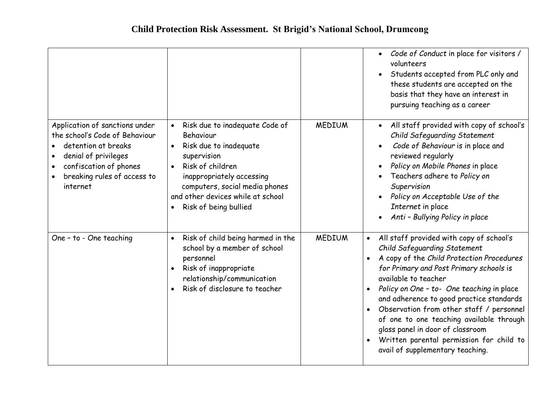|                                                                                                                                                                                      |                                                                                                                                                                                                                                                                 |               | Code of Conduct in place for visitors /<br>$\bullet$<br>volunteers<br>Students accepted from PLC only and<br>these students are accepted on the<br>basis that they have an interest in<br>pursuing teaching as a career                                                                                                                                                                                                                                                                       |
|--------------------------------------------------------------------------------------------------------------------------------------------------------------------------------------|-----------------------------------------------------------------------------------------------------------------------------------------------------------------------------------------------------------------------------------------------------------------|---------------|-----------------------------------------------------------------------------------------------------------------------------------------------------------------------------------------------------------------------------------------------------------------------------------------------------------------------------------------------------------------------------------------------------------------------------------------------------------------------------------------------|
| Application of sanctions under<br>the school's Code of Behaviour<br>detention at breaks<br>denial of privileges<br>confiscation of phones<br>breaking rules of access to<br>internet | Risk due to inadequate Code of<br>Behaviour<br>Risk due to inadequate<br>$\bullet$<br>supervision<br>Risk of children<br>$\bullet$<br>inappropriately accessing<br>computers, social media phones<br>and other devices while at school<br>Risk of being bullied | <b>MEDIUM</b> | All staff provided with copy of school's<br>$\bullet$<br>Child Safeguarding Statement<br>Code of Behaviour is in place and<br>reviewed regularly<br>Policy on Mobile Phones in place<br>$\bullet$<br>Teachers adhere to Policy on<br>Supervision<br>Policy on Acceptable Use of the<br>Internet in place<br>Anti - Bullying Policy in place                                                                                                                                                   |
| One - to - One teaching                                                                                                                                                              | Risk of child being harmed in the<br>$\bullet$<br>school by a member of school<br>personnel<br>Risk of inappropriate<br>$\bullet$<br>relationship/communication<br>Risk of disclosure to teacher                                                                | <b>MEDIUM</b> | All staff provided with copy of school's<br>Child Safeguarding Statement<br>A copy of the Child Protection Procedures<br>for Primary and Post Primary schools is<br>available to teacher<br>Policy on One - to- One teaching in place<br>and adherence to good practice standards<br>Observation from other staff / personnel<br>of one to one teaching available through<br>glass panel in door of classroom<br>Written parental permission for child to<br>avail of supplementary teaching. |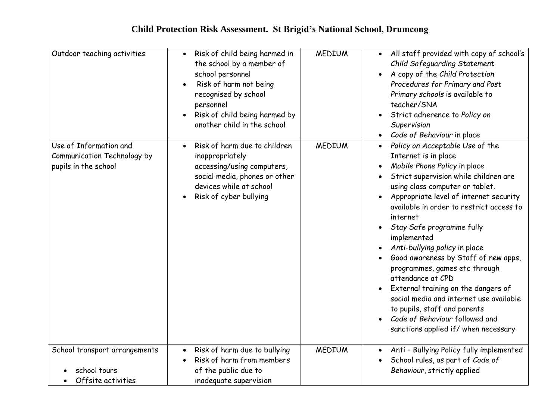| Outdoor teaching activities                                                          | Risk of child being harmed in<br>$\bullet$<br>the school by a member of<br>school personnel<br>Risk of harm not being<br>recognised by school<br>personnel<br>Risk of child being harmed by<br>another child in the school | <b>MEDIUM</b> | All staff provided with copy of school's<br>$\bullet$<br>Child Safeguarding Statement<br>A copy of the Child Protection<br>Procedures for Primary and Post<br>Primary schools is available to<br>teacher/SNA<br>Strict adherence to Policy on<br>Supervision<br>Code of Behaviour in place                                                                                                                                                                                                                                                                                                                                                               |
|--------------------------------------------------------------------------------------|----------------------------------------------------------------------------------------------------------------------------------------------------------------------------------------------------------------------------|---------------|----------------------------------------------------------------------------------------------------------------------------------------------------------------------------------------------------------------------------------------------------------------------------------------------------------------------------------------------------------------------------------------------------------------------------------------------------------------------------------------------------------------------------------------------------------------------------------------------------------------------------------------------------------|
| Use of Information and<br><b>Communication Technology by</b><br>pupils in the school | Risk of harm due to children<br>inappropriately<br>accessing/using computers,<br>social media, phones or other<br>devices while at school<br>Risk of cyber bullying                                                        | <b>MEDIUM</b> | Policy on Acceptable Use of the<br>Internet is in place<br>Mobile Phone Policy in place<br>Strict supervision while children are<br>using class computer or tablet.<br>Appropriate level of internet security<br>available in order to restrict access to<br>internet<br>Stay Safe programme fully<br>implemented<br>Anti-bullying policy in place<br>Good awareness by Staff of new apps,<br>programmes, games etc through<br>attendance at CPD<br>External training on the dangers of<br>$\bullet$<br>social media and internet use available<br>to pupils, staff and parents<br>Code of Behaviour followed and<br>sanctions applied if/when necessary |
| School transport arrangements<br>school tours<br>Offsite activities                  | Risk of harm due to bullying<br>Risk of harm from members<br>of the public due to<br>inadequate supervision                                                                                                                | <b>MEDIUM</b> | Anti - Bullying Policy fully implemented<br>School rules, as part of Code of<br>$\bullet$<br>Behaviour, strictly applied                                                                                                                                                                                                                                                                                                                                                                                                                                                                                                                                 |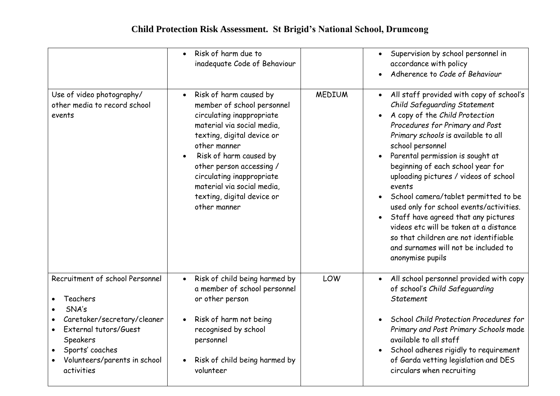|                                                                                                                                                                                           | Risk of harm due to<br>inadequate Code of Behaviour                                                                                                                                                                                                                                                                                                    |               | Supervision by school personnel in<br>accordance with policy<br>Adherence to Code of Behaviour                                                                                                                                                                                                                                                                                                                                                                                                                                                                                                                                                                    |
|-------------------------------------------------------------------------------------------------------------------------------------------------------------------------------------------|--------------------------------------------------------------------------------------------------------------------------------------------------------------------------------------------------------------------------------------------------------------------------------------------------------------------------------------------------------|---------------|-------------------------------------------------------------------------------------------------------------------------------------------------------------------------------------------------------------------------------------------------------------------------------------------------------------------------------------------------------------------------------------------------------------------------------------------------------------------------------------------------------------------------------------------------------------------------------------------------------------------------------------------------------------------|
| Use of video photography/<br>other media to record school<br>events                                                                                                                       | Risk of harm caused by<br>$\bullet$<br>member of school personnel<br>circulating inappropriate<br>material via social media,<br>texting, digital device or<br>other manner<br>Risk of harm caused by<br>$\bullet$<br>other person accessing /<br>circulating inappropriate<br>material via social media,<br>texting, digital device or<br>other manner | <b>MEDIUM</b> | All staff provided with copy of school's<br>$\bullet$<br>Child Safeguarding Statement<br>A copy of the Child Protection<br>$\bullet$<br>Procedures for Primary and Post<br>Primary schools is available to all<br>school personnel<br>Parental permission is sought at<br>$\bullet$<br>beginning of each school year for<br>uploading pictures / videos of school<br>events<br>School camera/tablet permitted to be<br>$\bullet$<br>used only for school events/activities.<br>Staff have agreed that any pictures<br>videos etc will be taken at a distance<br>so that children are not identifiable<br>and surnames will not be included to<br>anonymise pupils |
| Recruitment of school Personnel<br>Teachers<br>SNA's<br>Caretaker/secretary/cleaner<br>External tutors/Guest<br>Speakers<br>Sports' coaches<br>Volunteers/parents in school<br>activities | Risk of child being harmed by<br>$\bullet$<br>a member of school personnel<br>or other person<br>Risk of harm not being<br>$\bullet$<br>recognised by school<br>personnel<br>Risk of child being harmed by<br>$\bullet$<br>volunteer                                                                                                                   | LOW           | All school personnel provided with copy<br>$\bullet$<br>of school's Child Safeguarding<br><b>Statement</b><br>School Child Protection Procedures for<br>$\bullet$<br>Primary and Post Primary Schools made<br>available to all staff<br>School adheres rigidly to requirement<br>$\bullet$<br>of Garda vetting legislation and DES<br>circulars when recruiting                                                                                                                                                                                                                                                                                                   |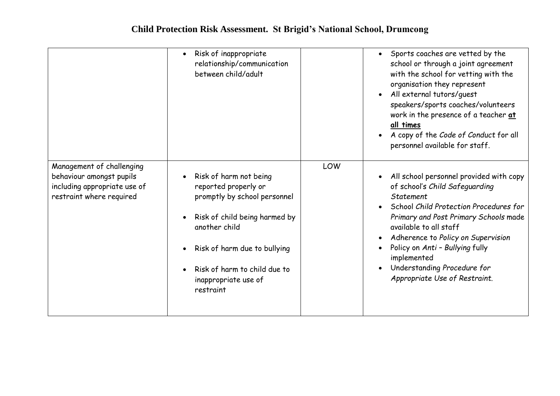|                                                                                                                   | Risk of inappropriate<br>relationship/communication<br>between child/adult                                                                                                                                                            |     | Sports coaches are vetted by the<br>$\bullet$<br>school or through a joint agreement<br>with the school for vetting with the<br>organisation they represent<br>All external tutors/guest<br>$\bullet$<br>speakers/sports coaches/volunteers<br>work in the presence of a teacher at<br>all times<br>A copy of the Code of Conduct for all<br>personnel available for staff.                        |
|-------------------------------------------------------------------------------------------------------------------|---------------------------------------------------------------------------------------------------------------------------------------------------------------------------------------------------------------------------------------|-----|----------------------------------------------------------------------------------------------------------------------------------------------------------------------------------------------------------------------------------------------------------------------------------------------------------------------------------------------------------------------------------------------------|
| Management of challenging<br>behaviour amongst pupils<br>including appropriate use of<br>restraint where required | Risk of harm not being<br>reported properly or<br>promptly by school personnel<br>Risk of child being harmed by<br>another child<br>Risk of harm due to bullying<br>Risk of harm to child due to<br>inappropriate use of<br>restraint | LOW | All school personnel provided with copy<br>$\bullet$<br>of school's Child Safeguarding<br>Statement<br>School Child Protection Procedures for<br>$\bullet$<br>Primary and Post Primary Schools made<br>available to all staff<br>Adherence to Policy on Supervision<br>Policy on Anti - Bullying fully<br>implemented<br>Understanding Procedure for<br>$\bullet$<br>Appropriate Use of Restraint. |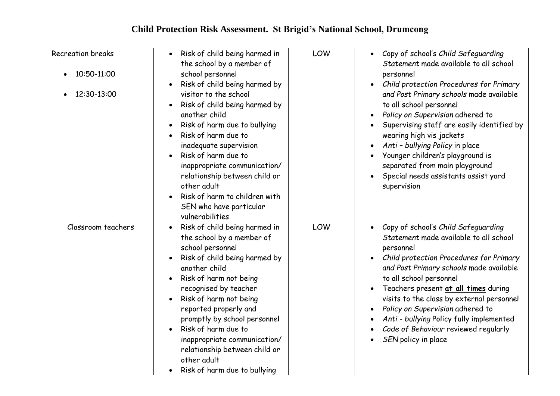| <b>Recreation breaks</b><br>10:50-11:00 | Risk of child being harmed in<br>$\bullet$<br>the school by a member of<br>school personnel<br>Risk of child being harmed by                                                                                                                                                                                                                                                                                               | LOW | • Copy of school's Child Safeguarding<br>Statement made available to all school<br>personnel<br>Child protection Procedures for Primary                                                                                                                                                                                                                                                                                                                      |
|-----------------------------------------|----------------------------------------------------------------------------------------------------------------------------------------------------------------------------------------------------------------------------------------------------------------------------------------------------------------------------------------------------------------------------------------------------------------------------|-----|--------------------------------------------------------------------------------------------------------------------------------------------------------------------------------------------------------------------------------------------------------------------------------------------------------------------------------------------------------------------------------------------------------------------------------------------------------------|
| 12:30-13:00                             | visitor to the school<br>Risk of child being harmed by<br>another child<br>Risk of harm due to bullying<br>Risk of harm due to<br>$\bullet$<br>inadequate supervision<br>Risk of harm due to<br>inappropriate communication/<br>relationship between child or<br>other adult<br>Risk of harm to children with<br>SEN who have particular<br>vulnerabilities                                                                |     | and Post Primary schools made available<br>to all school personnel<br>Policy on Supervision adhered to<br>$\bullet$<br>Supervising staff are easily identified by<br>wearing high vis jackets<br>Anti - bullying Policy in place<br>Younger children's playground is<br>separated from main playground<br>Special needs assistants assist yard<br>supervision                                                                                                |
| Classroom teachers                      | Risk of child being harmed in<br>$\bullet$<br>the school by a member of<br>school personnel<br>Risk of child being harmed by<br>another child<br>Risk of harm not being<br>recognised by teacher<br>Risk of harm not being<br>reported properly and<br>promptly by school personnel<br>Risk of harm due to<br>inappropriate communication/<br>relationship between child or<br>other adult<br>Risk of harm due to bullying | LOW | Copy of school's Child Safeguarding<br>$\bullet$<br>Statement made available to all school<br>personnel<br>Child protection Procedures for Primary<br>and Post Primary schools made available<br>to all school personnel<br>Teachers present at all times during<br>visits to the class by external personnel<br>Policy on Supervision adhered to<br>Anti - bullying Policy fully implemented<br>Code of Behaviour reviewed regularly<br>SEN policy in place |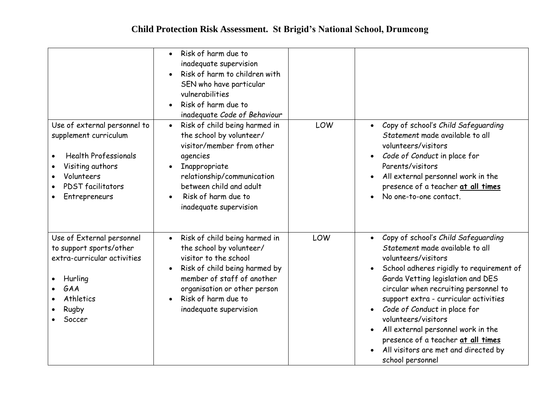|                                                                                                                                                                     | Risk of harm due to<br>$\bullet$<br>inadequate supervision<br>Risk of harm to children with<br>SEN who have particular<br>vulnerabilities<br>Risk of harm due to<br>inadequate Code of Behaviour                                                |     |                                                                                                                                                                                                                                                                                                                                                                                                                                                                              |
|---------------------------------------------------------------------------------------------------------------------------------------------------------------------|-------------------------------------------------------------------------------------------------------------------------------------------------------------------------------------------------------------------------------------------------|-----|------------------------------------------------------------------------------------------------------------------------------------------------------------------------------------------------------------------------------------------------------------------------------------------------------------------------------------------------------------------------------------------------------------------------------------------------------------------------------|
| Use of external personnel to<br>supplement curriculum<br><b>Health Professionals</b><br>Visiting authors<br>Volunteers<br><b>PDST</b> facilitators<br>Entrepreneurs | Risk of child being harmed in<br>$\bullet$<br>the school by volunteer/<br>visitor/member from other<br>agencies<br>Inappropriate<br>relationship/communication<br>between child and adult<br>Risk of harm due to<br>inadequate supervision      | LOW | Copy of school's Child Safeguarding<br>$\bullet$<br>Statement made available to all<br>volunteers/visitors<br>Code of Conduct in place for<br>$\bullet$<br>Parents/visitors<br>All external personnel work in the<br>presence of a teacher at all times<br>No one-to-one contact.                                                                                                                                                                                            |
| Use of External personnel<br>to support sports/other<br>extra-curricular activities<br>Hurling<br>GAA<br>Athletics<br>Rugby<br>Soccer                               | Risk of child being harmed in<br>$\bullet$<br>the school by volunteer/<br>visitor to the school<br>Risk of child being harmed by<br>member of staff of another<br>organisation or other person<br>Risk of harm due to<br>inadequate supervision | LOW | Copy of school's Child Safeguarding<br>Statement made available to all<br>volunteers/visitors<br>School adheres rigidly to requirement of<br>Garda Vetting legislation and DES<br>circular when recruiting personnel to<br>support extra - curricular activities<br>Code of Conduct in place for<br>$\bullet$<br>volunteers/visitors<br>All external personnel work in the<br>presence of a teacher at all times<br>All visitors are met and directed by<br>school personnel |